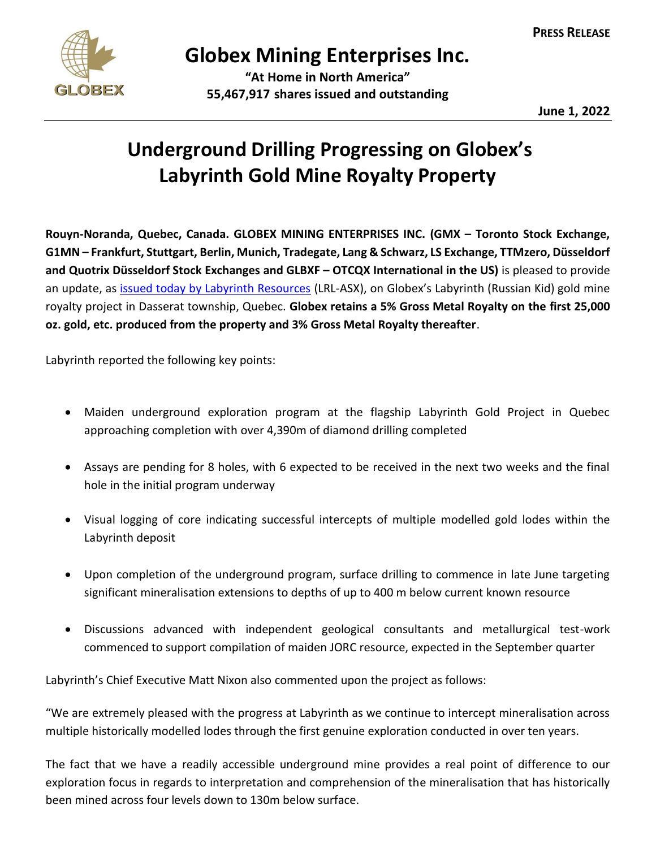

## **Globex Mining Enterprises Inc.**

**"At Home in North America" 55,467,917 shares issued and outstanding**

**June 1, 2022**

## **Underground Drilling Progressing on Globex's Labyrinth Gold Mine Royalty Property**

**Rouyn-Noranda, Quebec, Canada. GLOBEX MINING ENTERPRISES INC. (GMX – Toronto Stock Exchange, G1MN – Frankfurt, Stuttgart, Berlin, Munich, Tradegate, Lang & Schwarz, LS Exchange, TTMzero, Düsseldorf and Quotrix Düsseldorf Stock Exchanges and GLBXF – OTCQX International in the US)** is pleased to provide an update, as [issued today by Labyrinth Resources](https://wcsecure.weblink.com.au/pdf/LRL/02527329.pdf) (LRL-ASX), on Globex's Labyrinth (Russian Kid) gold mine royalty project in Dasserat township, Quebec. **Globex retains a 5% Gross Metal Royalty on the first 25,000 oz. gold, etc. produced from the property and 3% Gross Metal Royalty thereafter**.

Labyrinth reported the following key points:

- Maiden underground exploration program at the flagship Labyrinth Gold Project in Quebec approaching completion with over 4,390m of diamond drilling completed
- Assays are pending for 8 holes, with 6 expected to be received in the next two weeks and the final hole in the initial program underway
- Visual logging of core indicating successful intercepts of multiple modelled gold lodes within the Labyrinth deposit
- Upon completion of the underground program, surface drilling to commence in late June targeting significant mineralisation extensions to depths of up to 400 m below current known resource
- Discussions advanced with independent geological consultants and metallurgical test-work commenced to support compilation of maiden JORC resource, expected in the September quarter

Labyrinth's Chief Executive Matt Nixon also commented upon the project as follows:

"We are extremely pleased with the progress at Labyrinth as we continue to intercept mineralisation across multiple historically modelled lodes through the first genuine exploration conducted in over ten years.

The fact that we have a readily accessible underground mine provides a real point of difference to our exploration focus in regards to interpretation and comprehension of the mineralisation that has historically been mined across four levels down to 130m below surface.